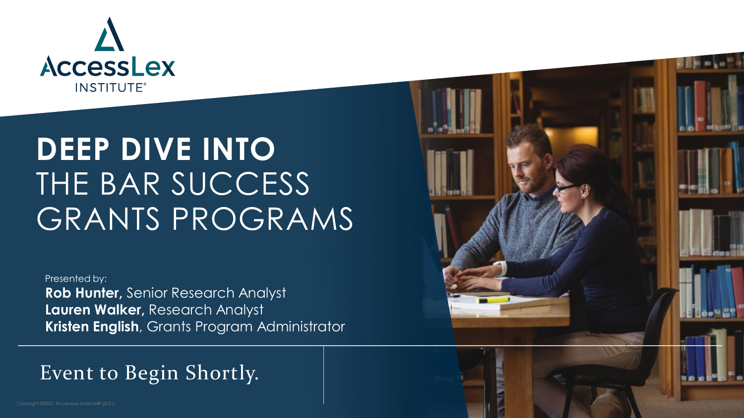

### **DEEP DIVE INTO**  THE BAR SUCCESS GRANTS PROGRAMS

Presented by: **Rob Hunter,** Senior Research Analyst **Lauren Walker,** Research Analyst

**Kristen English**, Grants Program Administrator

#### Event to Begin Shortly.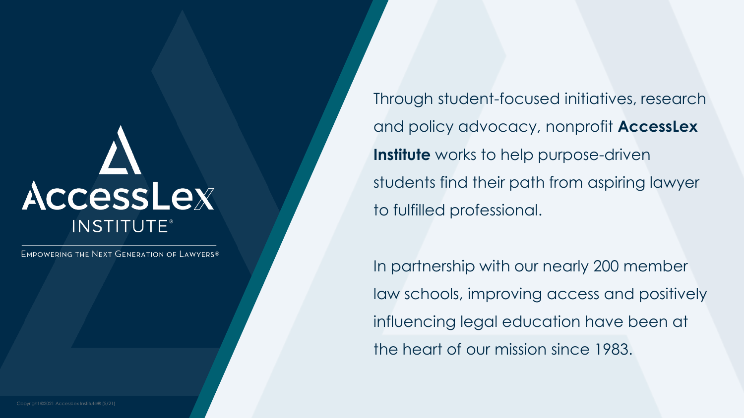### the level of  $\mathbf{r}$ AccessLex **INSTITUTE®**

Edit Master text styles Second level

EMPOWERING THE NEXT GENERATION OF LAWYERS®

Through student-focused initiatives, research and policy advocacy, nonprofit **AccessLex Institute** works to help purpose-driven students find their path from aspiring lawyer to fulfilled professional.

In partnership with our nearly 200 member law schools, improving access and positively influencing legal education have been at the heart of our mission since 1983.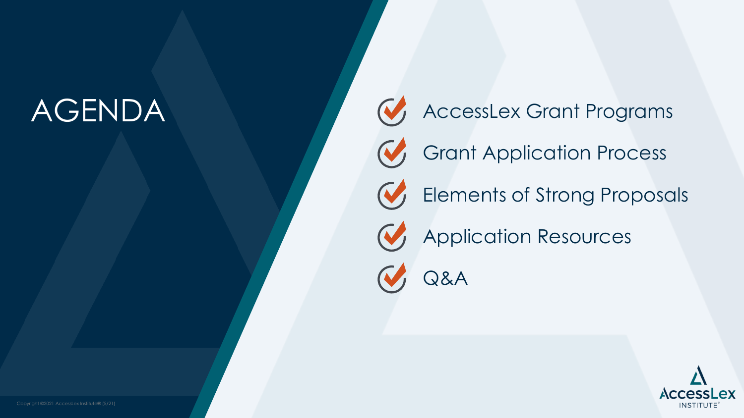### AGENDA



AccessLex Grant Programs

Grant Application Process



Application Resources

Q&A

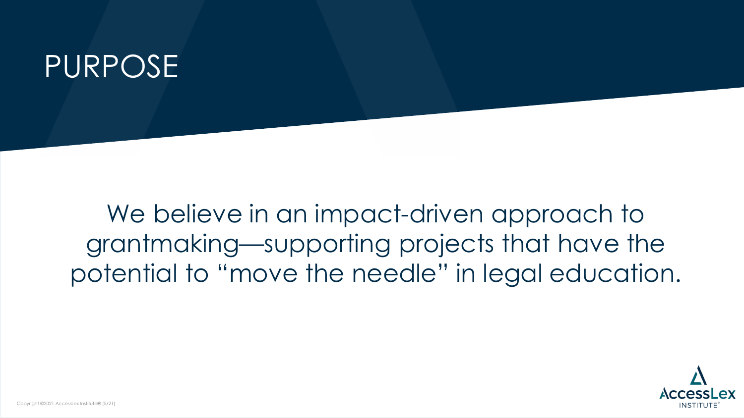### PURPOSE

We believe in an impact-driven approach to grantmaking—supporting projects that have the potential to "move the needle" in legal education.

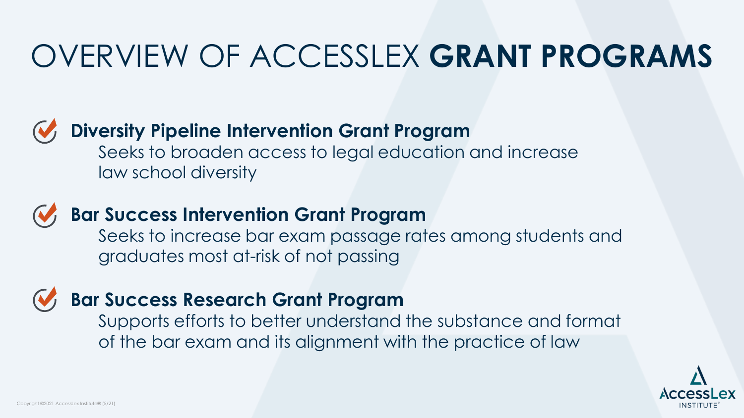### OVERVIEW OF ACCESSLEX **GRANT PROGRAMS**

#### **Diversity Pipeline Intervention Grant Program**

Seeks to broaden access to legal education and increase law school diversity

#### **Bar Success Intervention Grant Program**

Seeks to increase bar exam passage rates among students and graduates most at-risk of not passing

#### **Bar Success Research Grant Program**

Supports efforts to better understand the substance and format of the bar exam and its alignment with the practice of law

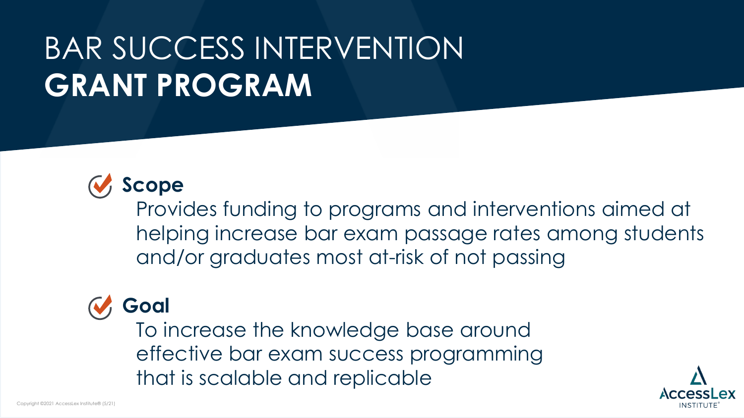# BAR SUCCESS INTERVENTION **GRANT PROGRAM**



Provides funding to programs and interventions aimed at helping increase bar exam passage rates among students and/or graduates most at-risk of not passing

### **Goal**

To increase the knowledge base around effective bar exam success programming that is scalable and replicable

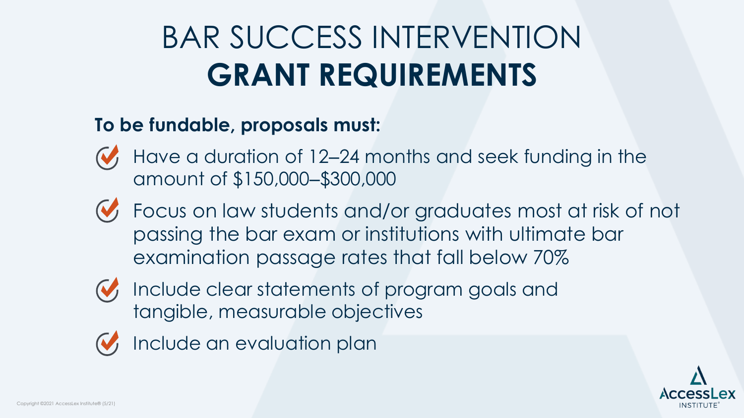# BAR SUCCESS INTERVENTION **GRANT REQUIREMENTS**

#### **To be fundable, proposals must:**

- Have a duration of 12–24 months and seek funding in the amount of \$150,000‒\$300,000
- Focus on law students and/or graduates most at risk of not passing the bar exam or institutions with ultimate bar examination passage rates that fall below 70%
- 
- Include clear statements of program goals and tangible, measurable objectives
- 
- Include an evaluation plan

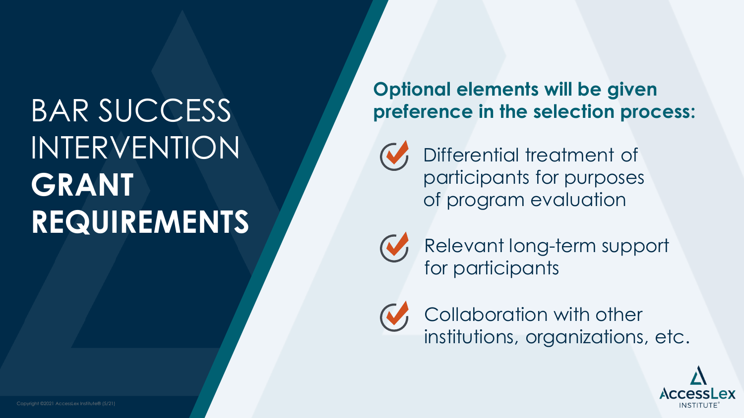# BAR SUCCESS INTERVENTION **GRANT REQUIREMENTS**

#### **Optional elements will be given preference in the selection process:**



Differential treatment of participants for purposes of program evaluation



Relevant long-term support for participants



Collaboration with other institutions, organizations, etc.

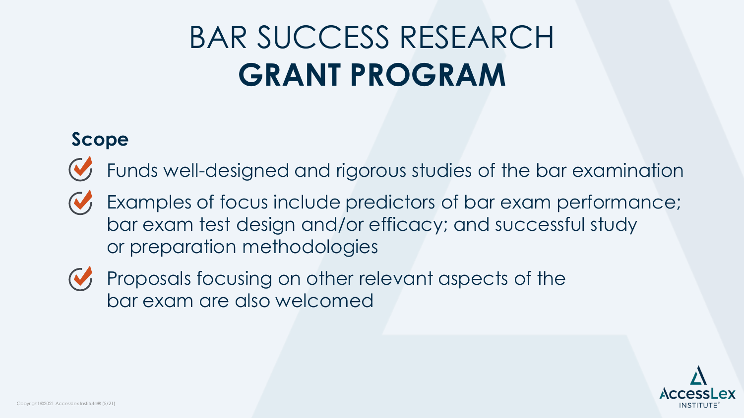# BAR SUCCESS RESEARCH **GRANT PROGRAM**

#### **Scope**

- Funds well-designed and rigorous studies of the bar examination
- Examples of focus include predictors of bar exam performance; bar exam test design and/or efficacy; and successful study or preparation methodologies
- 
- Proposals focusing on other relevant aspects of the bar exam are also welcomed

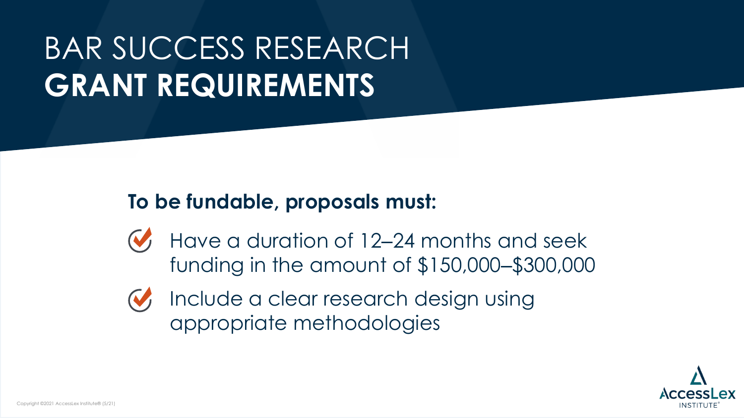# BAR SUCCESS RESEARCH **GRANT REQUIREMENTS**

#### **To be fundable, proposals must:**

Have a duration of 12–24 months and seek funding in the amount of \$150,000‒\$300,000



Include a clear research design using appropriate methodologies

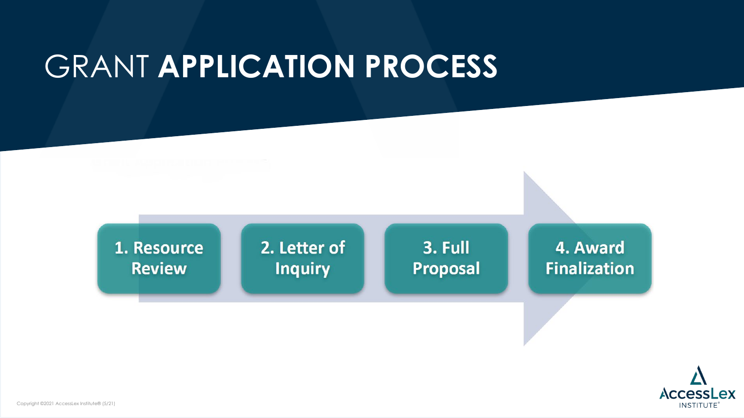### GRANT **APPLICATION PROCESS**



2. Letter of **Inquiry** 

3. Full **Proposal** 

4. Award **Finalization** 

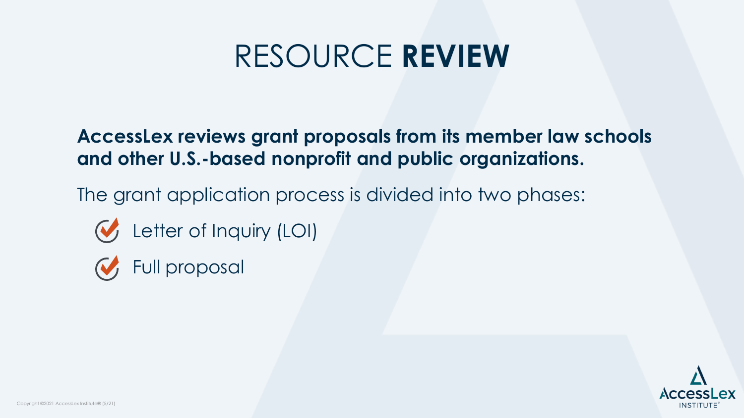### RESOURCE **REVIEW**

**AccessLex reviews grant proposals from its member law schools and other U.S.-based nonprofit and public organizations.** 

The grant application process is divided into two phases:

- Letter of Inquiry (LOI)
- Full proposal

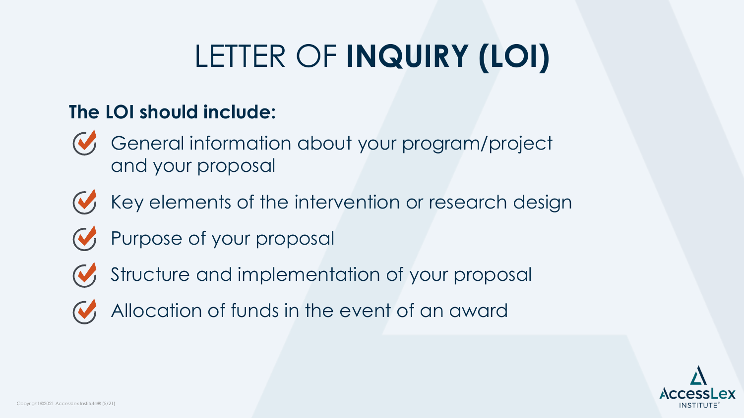# LETTER OF **INQUIRY (LOI)**

#### **The LOI should include:**

- General information about your program/project and your proposal
- Key elements of the intervention or research design
- **W** Purpose of your proposal
- 
- Structure and implementation of your proposal
- 
- Allocation of funds in the event of an award

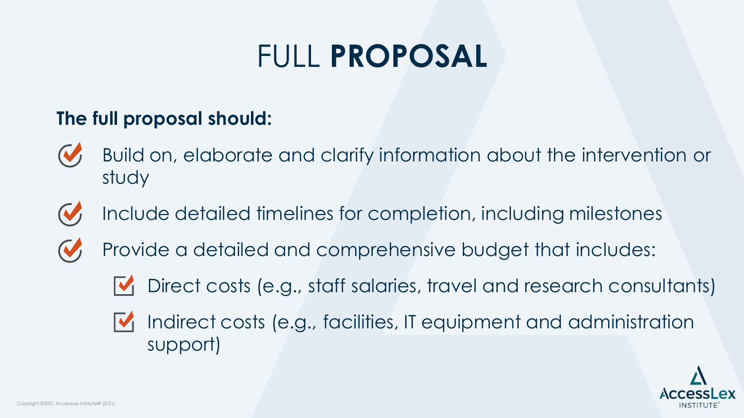### FULL **PROPOSAL**

#### **The full proposal should:**

- Build on, elaborate and clarify information about the intervention or study
- Include detailed timelines for completion, including milestones
	- Provide a detailed and comprehensive budget that includes:
		- Direct costs (e.g., staff salaries, travel and research consultants)  $\mathbf{V}_1$
		- Indirect costs (e.g., facilities, IT equipment and administration support)

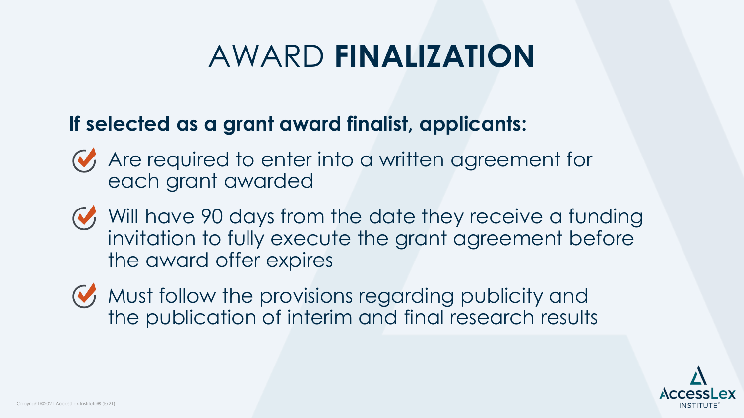### AWARD **FINALIZATION**

#### **If selected as a grant award finalist, applicants:**

- Are required to enter into a written agreement for each grant awarded
- Will have 90 days from the date they receive a funding invitation to fully execute the grant agreement before the award offer expires
- W, Must follow the provisions regarding publicity and the publication of interim and final research results

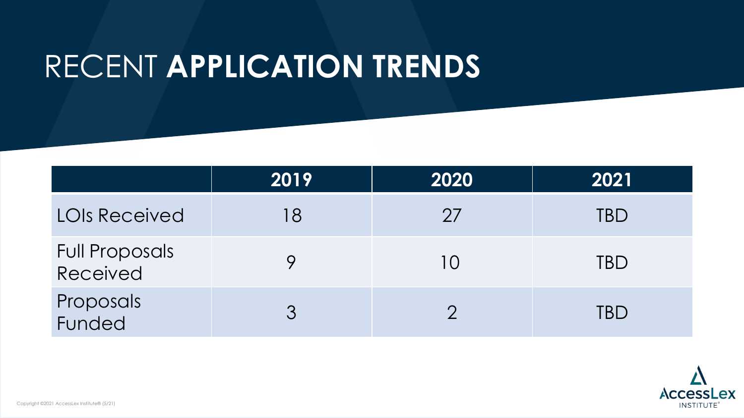### RECENT **APPLICATION TRENDS**

|                                   | 2019 | 2020 | 2021       |
|-----------------------------------|------|------|------------|
| <b>LOIS Received</b>              | -8   | 27   | TBD        |
| <b>Full Proposals</b><br>Received |      | l O  | <b>TBD</b> |
| Proposals<br>Funded               |      |      | TBD        |

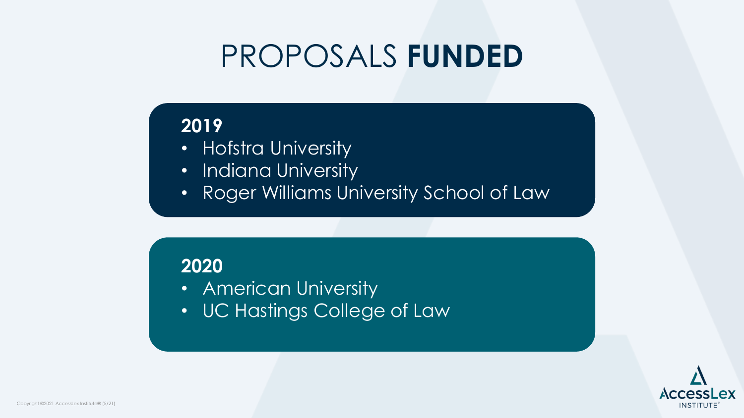### PROPOSALS **FUNDED**

#### **2019**

- Hofstra University
- Indiana University
- Roger Williams University School of Law

#### **2020**

- American University
- UC Hastings College of Law

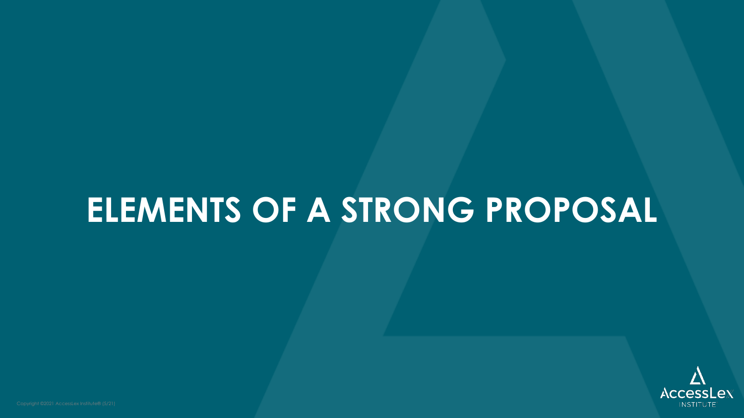### **ELEMENTS OF A STRONG PROPOSAL**

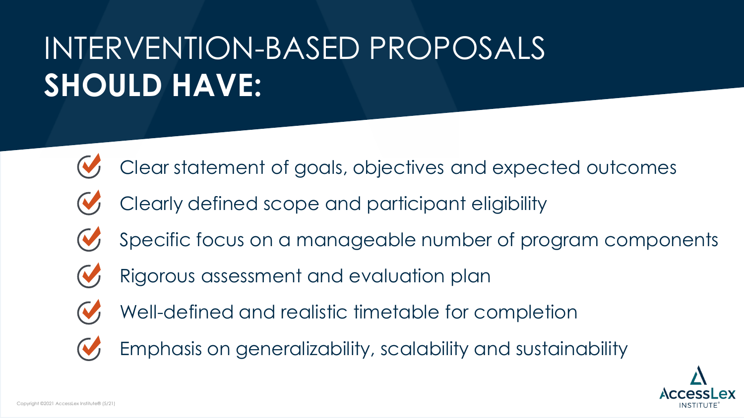# INTERVENTION-BASED PROPOSALS **SHOULD HAVE:**

- Clear statement of goals, objectives and expected outcomes
- Clearly defined scope and participant eligibility
- Specific focus on a manageable number of program components
- Rigorous assessment and evaluation plan
- Well-defined and realistic timetable for completion
- Emphasis on generalizability, scalability and sustainability

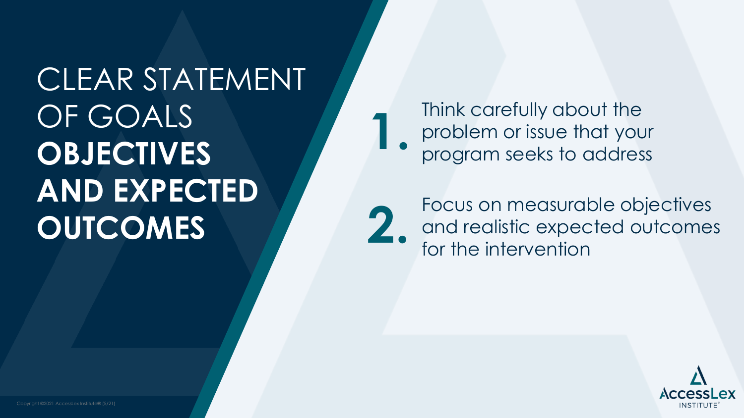# CLEAR STATEMENT OF GOALS **OBJECTIVES AND EXPECTED OUTCOMES**

Think carefully about the problem or issue that your **1.** program seeks to address



Focus on measurable objectives and realistic expected outcomes **2.** for the intervention

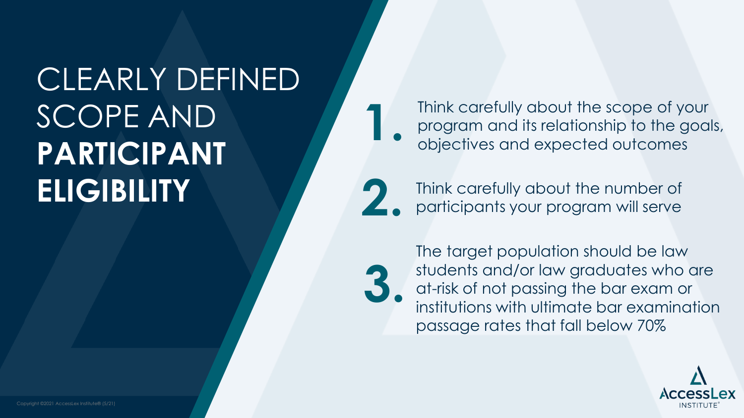# CLEARLY DEFINED SCOPE AND **PARTICIPANT ELIGIBILITY**

Think carefully about the scope of your program and its relationship to the goals, **1.** objectives and expected outcomes

Think carefully about the number of **2.** participants your program will serve

**3.**

The target population should be law students and/or law graduates who are at-risk of not passing the bar exam or institutions with ultimate bar examination passage rates that fall below 70%

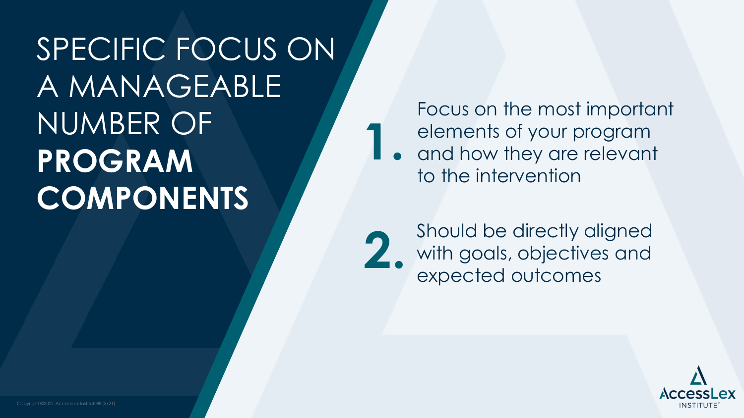SPECIFIC FOCUS ON A MANAGEABLE NUMBER OF **PROGRAM COMPONENTS**

Focus on the most important elements of your program

and how they are relevant to the intervention **1.**

Should be directly aligned with goals, objectives and **2.** expected outcomes

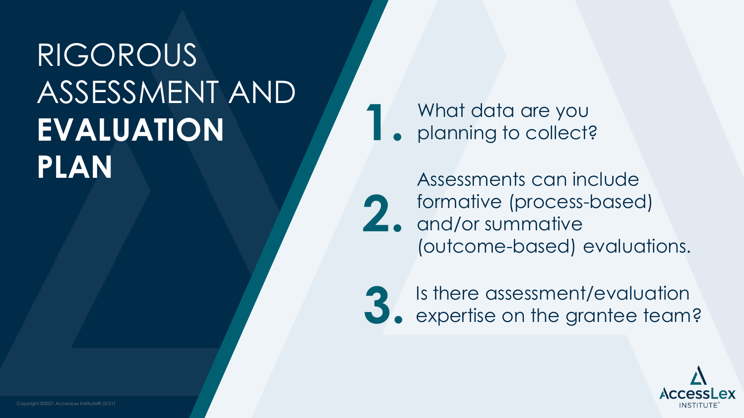### RIGOROUS ASSESSMENT AND **EVALUATION PLAN**

What data are you **1.** planning to collect?

Assessments can include formative (process-based) and/or summative (outcome-based) evaluations. **2.**



Is there assessment/evaluation **3.** expertise on the grantee team?

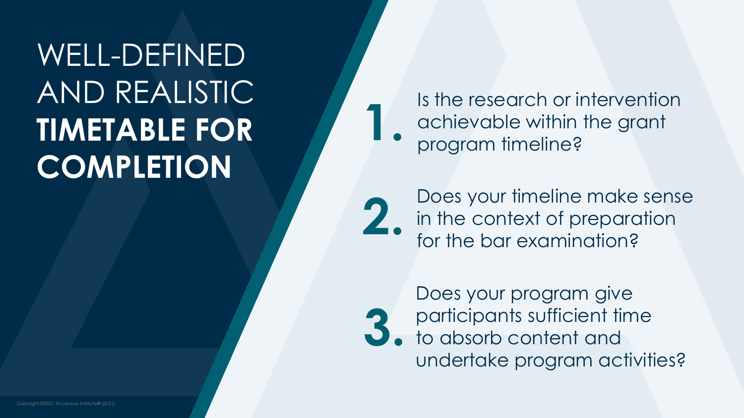# WELL-DEFINED AND REALISTIC **TIMETABLE FOR COMPLETION**

Is the research or intervention achievable within the grant<br>program timeline?

Does your timeline make sense 2. **In the context of preparation**<br>**2.** for the bar examination?



Does your program give participants sufficient time to absorb content and undertake program activities?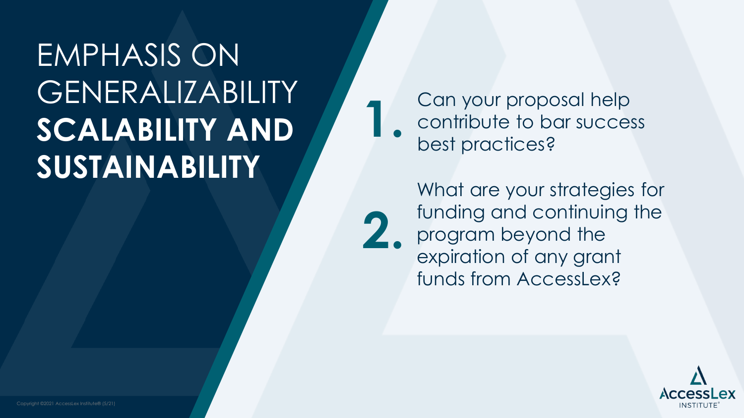# EMPHASIS ON GENERALIZABILITY **SCALABILITY AND SUSTAINABILITY**

Can your proposal help contribute to bar success<br>best practices?

**2.**

What are your strategies for funding and continuing the program beyond the expiration of any grant funds from AccessLex?

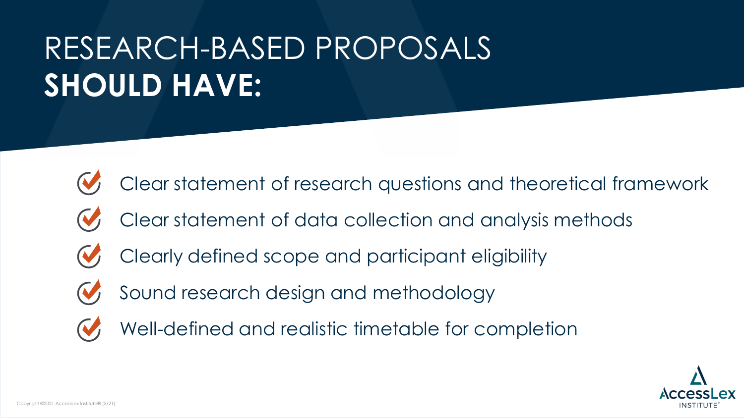# RESEARCH-BASED PROPOSALS **SHOULD HAVE:**

- Clear statement of research questions and theoretical framework
- Clear statement of data collection and analysis methods
- Clearly defined scope and participant eligibility
- Sound research design and methodology
- Well-defined and realistic timetable for completion

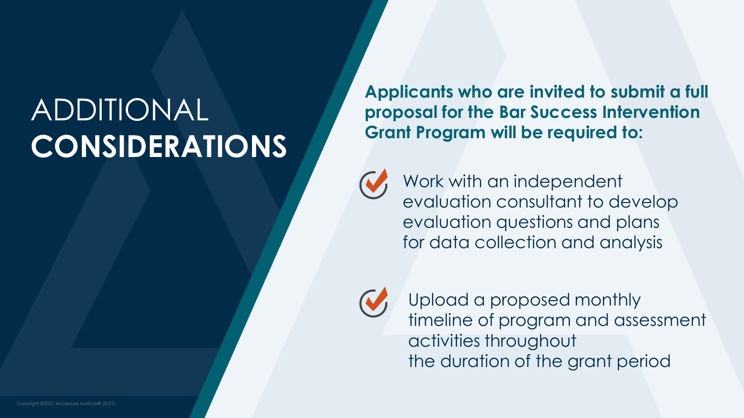# ADDITIONAL **CONSIDERATIONS**

**Applicants who are invited to submit a full proposal for the Bar Success Intervention Grant Program will be required to:**



Work with an independent evaluation consultant to develop evaluation questions and plans for data collection and analysis



Upload a proposed monthly timeline of program and assessment activities throughout the duration of the grant period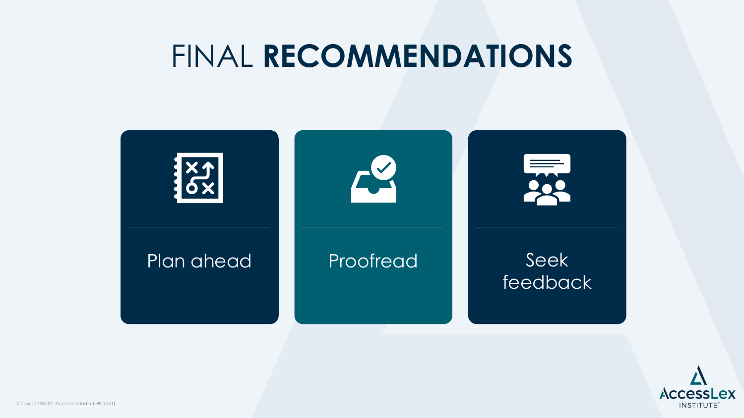### FINAL **RECOMMENDATIONS**



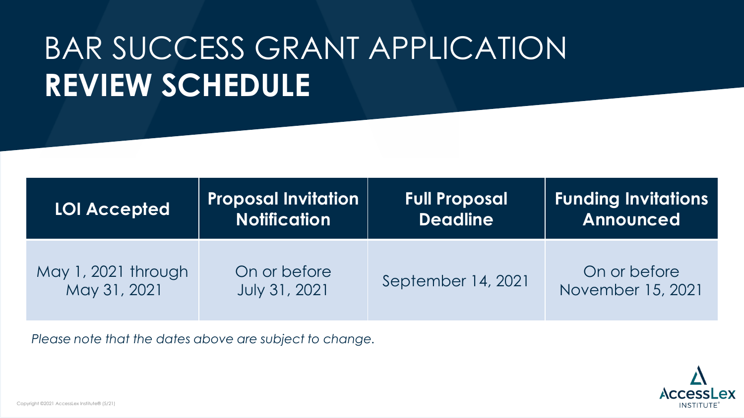# BAR SUCCESS GRANT APPLICATION **REVIEW SCHEDULE**

| <b>LOI Accepted</b> | <b>Proposal Invitation</b> | <b>Full Proposal</b> | <b>Funding Invitations</b> |
|---------------------|----------------------------|----------------------|----------------------------|
|                     | <b>Notification</b>        | <b>Deadline</b>      | Announced                  |
| May 1, 2021 through | On or before               | September 14, 2021   | On or before               |
| May 31, 2021        | <b>July 31, 2021</b>       |                      | November 15, 2021          |

*Please note that the dates above are subject to change.* 

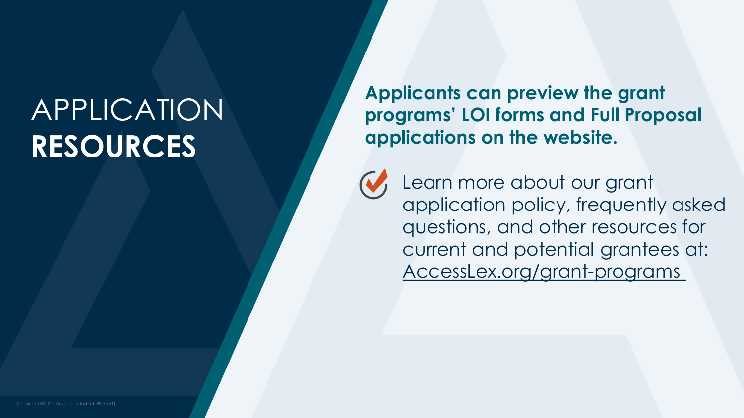### APPLICATION **RESOURCES**

**Applicants can preview the grant programs' LOI forms and Full Proposal applications on the website.**



Learn more about our grant application policy, frequently asked questions, and other resources for current and potential grantees at: [AccessLex.org/grant-programs](http://www.accesslex.org/grant-programs)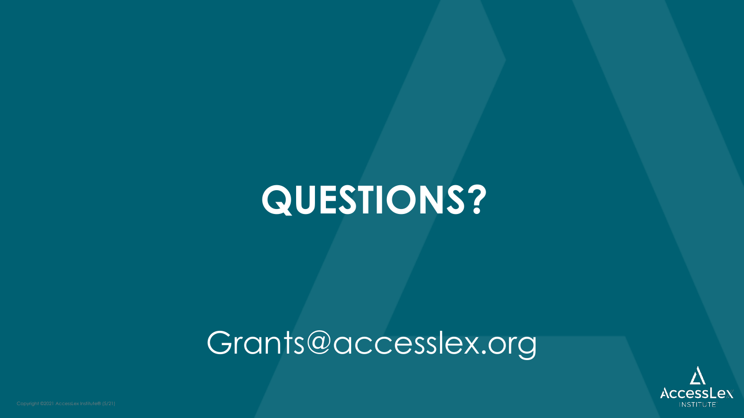# **QUESTIONS?**

### Grants@accesslex.org